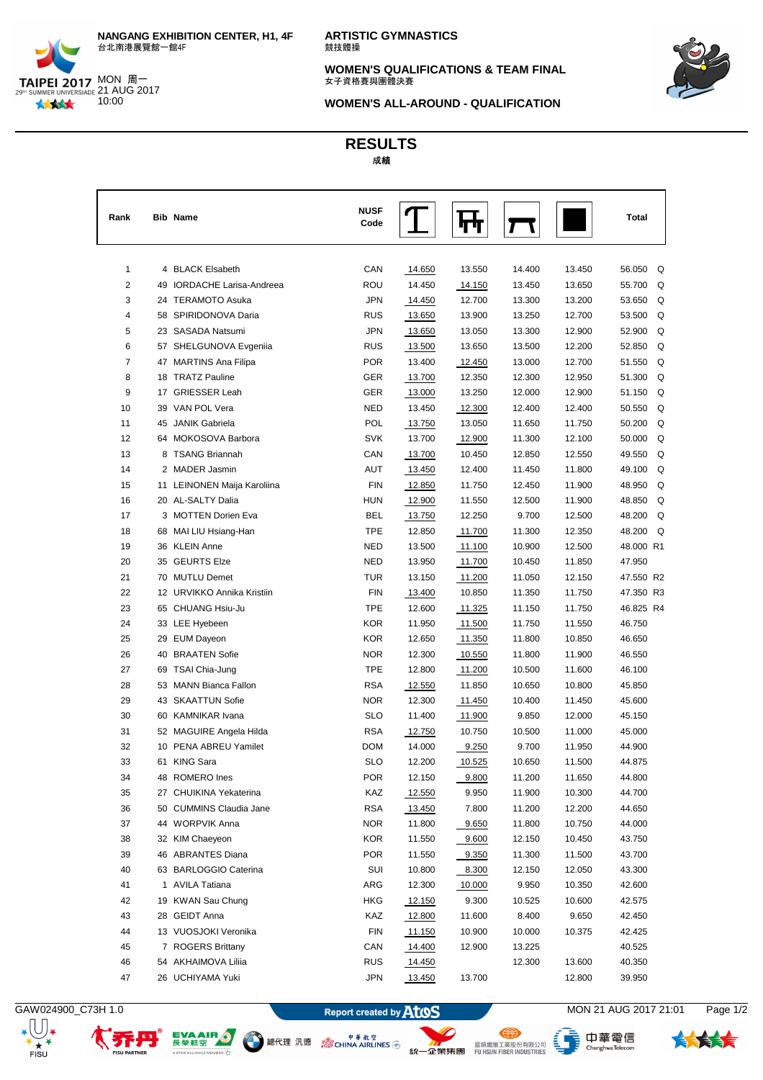

**ARTISTIC GYMNASTICS** 競技體操

**WOMEN'S QUALIFICATIONS & TEAM FINAL** 女子資格賽與團體決賽



**WOMEN'S ALL-AROUND - QUALIFICATION**

**RESULTS** 成成

| Rank | <b>Bib Name</b>             | <b>NUSF</b><br>Code |        |        |        |        | <b>Total</b> |
|------|-----------------------------|---------------------|--------|--------|--------|--------|--------------|
| 1    | 4 BLACK Elsabeth            | CAN                 | 14.650 | 13.550 | 14.400 | 13.450 | 56.050<br>Q  |
| 2    | 49 IORDACHE Larisa-Andreea  | ROU                 | 14.450 | 14.150 | 13.450 | 13.650 | 55.700<br>Q  |
| 3    | 24 TERAMOTO Asuka           | JPN                 | 14.450 | 12.700 | 13.300 | 13.200 | Q<br>53.650  |
| 4    | 58 SPIRIDONOVA Daria        | <b>RUS</b>          | 13.650 | 13.900 | 13.250 | 12.700 | Q<br>53.500  |
| 5    | 23 SASADA Natsumi           | <b>JPN</b>          | 13.650 | 13.050 | 13.300 | 12.900 | 52.900<br>Q  |
| 6    | 57 SHELGUNOVA Evgenija      | <b>RUS</b>          | 13.500 | 13.650 | 13.500 | 12.200 | Q<br>52.850  |
| 7    | 47 MARTINS Ana Filipa       | <b>POR</b>          | 13.400 | 12.450 | 13.000 | 12.700 | Q<br>51.550  |
| 8    | 18 TRATZ Pauline            | GER                 | 13.700 | 12.350 | 12.300 | 12.950 | 51.300<br>Q  |
| 9    | 17 GRIESSER Leah            | GER                 | 13.000 | 13.250 | 12.000 | 12.900 | Q<br>51.150  |
| 10   | 39 VAN POL Vera             | <b>NED</b>          | 13.450 | 12.300 | 12.400 | 12.400 | 50.550<br>Q  |
| 11   | 45 JANIK Gabriela           | POL                 | 13.750 | 13.050 | 11.650 | 11.750 | 50.200<br>Q  |
| 12   | 64 MOKOSOVA Barbora         | <b>SVK</b>          | 13.700 | 12.900 | 11.300 | 12.100 | 50.000<br>Q  |
| 13   | 8 TSANG Briannah            | CAN                 | 13.700 | 10.450 | 12.850 | 12.550 | Q<br>49.550  |
| 14   | 2 MADER Jasmin              | AUT                 | 13.450 | 12.400 | 11.450 | 11.800 | 49.100<br>Q  |
| 15   | 11 LEINONEN Maija Karoliina | <b>FIN</b>          | 12.850 | 11.750 | 12.450 | 11.900 | Q<br>48.950  |
| 16   | 20 AL-SALTY Dalia           | <b>HUN</b>          | 12.900 | 11.550 | 12.500 | 11.900 | Q<br>48.850  |
| 17   | 3 MOTTEN Dorien Eva         | <b>BEL</b>          | 13.750 | 12.250 | 9.700  | 12.500 | 48.200<br>Q  |
| 18   | 68 MAI LIU Hsiang-Han       | <b>TPE</b>          | 12.850 | 11.700 | 11.300 | 12.350 | 48.200<br>Q  |
| 19   | 36 KLEIN Anne               | NED                 | 13.500 | 11.100 | 10.900 | 12.500 | 48.000 R1    |
| 20   | 35 GEURTS Elze              | <b>NED</b>          | 13.950 | 11.700 | 10.450 | 11.850 | 47.950       |
| 21   | 70 MUTLU Demet              | <b>TUR</b>          | 13.150 | 11.200 | 11.050 | 12.150 | 47.550 R2    |
| 22   | 12 URVIKKO Annika Kristiin  | <b>FIN</b>          | 13.400 | 10.850 | 11.350 | 11.750 | 47.350 R3    |
| 23   | 65 CHUANG Hsiu-Ju           | <b>TPE</b>          | 12.600 | 11.325 | 11.150 | 11.750 | 46.825 R4    |
| 24   | 33 LEE Hyebeen              | <b>KOR</b>          | 11.950 | 11.500 | 11.750 | 11.550 | 46.750       |
| 25   | 29 EUM Dayeon               | <b>KOR</b>          | 12.650 | 11.350 | 11.800 | 10.850 | 46.650       |
| 26   | 40 BRAATEN Sofie            | <b>NOR</b>          | 12.300 | 10.550 | 11.800 | 11.900 | 46.550       |
| 27   | 69 TSAI Chia-Jung           | <b>TPE</b>          | 12.800 | 11.200 | 10.500 | 11.600 | 46.100       |
| 28   | 53 MANN Bianca Fallon       | <b>RSA</b>          | 12.550 | 11.850 | 10.650 | 10.800 | 45.850       |
| 29   | 43 SKAATTUN Sofie           | <b>NOR</b>          | 12.300 | 11.450 | 10.400 | 11.450 | 45.600       |
| 30   | 60 KAMNIKAR Ivana           | <b>SLO</b>          | 11.400 | 11.900 | 9.850  | 12.000 | 45.150       |
| 31   | 52 MAGUIRE Angela Hilda     | <b>RSA</b>          | 12.750 | 10.750 | 10.500 | 11.000 | 45.000       |
| 32   | 10 PENA ABREU Yamilet       | <b>DOM</b>          | 14.000 | 9.250  | 9.700  | 11.950 | 44.900       |
| 33   | 61 KING Sara                | <b>SLO</b>          | 12.200 | 10.525 | 10.650 | 11.500 | 44.875       |
| 34   | 48 ROMERO Ines              | POR                 | 12.150 | 9.800  | 11.200 | 11.650 | 44.800       |
| 35   | 27 CHUIKINA Yekaterina      | KAZ                 | 12.550 | 9.950  | 11.900 | 10.300 | 44.700       |
| 36   | 50 CUMMINS Claudia Jane     | <b>RSA</b>          | 13.450 | 7.800  | 11.200 | 12.200 | 44.650       |
| 37   | 44 WORPVIK Anna             | <b>NOR</b>          | 11.800 | 9.650  | 11.800 | 10.750 | 44.000       |
| 38   | 32 KIM Chaeyeon             | <b>KOR</b>          | 11.550 | 9.600  | 12.150 | 10.450 | 43.750       |
| 39   | 46 ABRANTES Diana           | <b>POR</b>          | 11.550 | 9.350  | 11.300 | 11.500 | 43.700       |
| 40   | 63 BARLOGGIO Caterina       | SUI                 | 10.800 | 8.300  | 12.150 | 12.050 | 43.300       |
| 41   | 1 AVILA Tatiana             | ARG                 | 12.300 | 10.000 | 9.950  | 10.350 | 42.600       |
| 42   | 19 KWAN Sau Chung           | <b>HKG</b>          | 12.150 | 9.300  | 10.525 | 10.600 | 42.575       |
| 43   | 28 GEIDT Anna               | KAZ                 | 12.800 | 11.600 | 8.400  | 9.650  | 42.450       |
| 44   | 13 VUOSJOKI Veronika        | <b>FIN</b>          | 11.150 | 10.900 | 10.000 | 10.375 | 42.425       |
| 45   | 7 ROGERS Brittany           | CAN                 | 14.400 | 12.900 | 13.225 |        | 40.525       |
| 46   | 54 AKHAIMOVA Liliia         | <b>RUS</b>          | 14.450 |        | 12.300 | 13.600 | 40.350       |
| 47   | 26 UCHIYAMA Yuki            | <b>JPN</b>          | 13.450 | 13.700 |        | 12.800 | 39.950       |

 $_{\rm \star}$   $\rm U$  ,  $rac{1}{\pi}$ <br>FISU



εŵ

GAW024900\_C73H 1.0 **MON 21 AUG 2017 21:01** Report created by **ATOS** MON 21 AUG 2017 21:01 Page 1/2

<sup>中華航空</sup>線代理 汎徳 <sub>&</sub> sychina AIRLINES 多